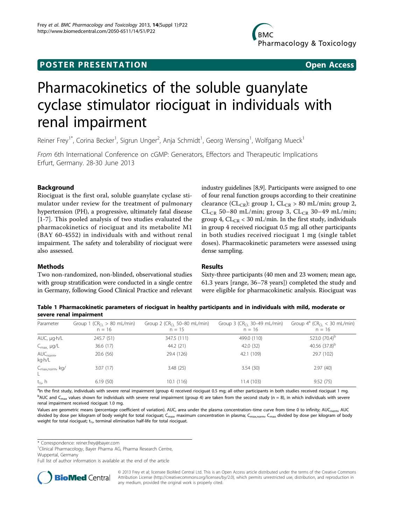## <span id="page-0-0"></span>**POSTER PRESENTATION CONSUMING THE SERVICE SERVICE SERVICES**

# Pharmacokinetics of the soluble guanylate cyclase stimulator riociguat in individuals with renal impairment

Reiner Frey<sup>1\*</sup>, Corina Becker<sup>1</sup>, Sigrun Unger<sup>2</sup>, Anja Schmidt<sup>1</sup>, Georg Wensing<sup>1</sup>, Wolfgang Mueck<sup>1</sup>

From 6th International Conference on cGMP: Generators, Effectors and Therapeutic Implications Erfurt, Germany. 28-30 June 2013

## Background

Riociguat is the first oral, soluble guanylate cyclase stimulator under review for the treatment of pulmonary hypertension (PH), a progressive, ultimately fatal disease [[1-](#page-1-0)[7\]](#page-2-0). This pooled analysis of two studies evaluated the pharmacokinetics of riociguat and its metabolite M1 (BAY 60-4552) in individuals with and without renal impairment. The safety and tolerability of riociguat were also assessed.

industry guidelines [[8,9\]](#page-2-0). Participants were assigned to one of four renal function groups according to their creatinine clearance ( $CL_{CR}$ ): group 1,  $CL_{CR} > 80$  mL/min; group 2, CL<sub>CR</sub> 50-80 mL/min; group 3, CL<sub>CR</sub> 30-49 mL/min; group 4,  $CL_{CR}$  < 30 mL/min. In the first study, individuals in group 4 received riociguat 0.5 mg; all other participants in both studies received riociguat 1 mg (single tablet doses). Pharmacokinetic parameters were assessed using dense sampling.

## **Methods**

Two non-randomized, non-blinded, observational studies with group stratification were conducted in a single centre in Germany, following Good Clinical Practice and relevant

## Results

Sixty-three participants (40 men and 23 women; mean age, 61.3 years [range, 36–78 years]) completed the study and were eligible for pharmacokinetic analysis. Riociguat was

Table 1 Pharmacokinetic parameters of riociguat in healthy participants and in individuals with mild, moderate or severe renal impairment

| Parameter                       | Group 1 ( $CR_{Cl} > 80$ mL/min)<br>$n = 16$ | Group 2 ( $CRCl$ 50–80 mL/min)<br>$n = 15$ | Group 3 (CR <sub>CL</sub> 30-49 mL/min)<br>$n = 16$ | Group $4^a$ (CR <sub>CL</sub> < 30 mL/min)<br>$n = 16$ |
|---------------------------------|----------------------------------------------|--------------------------------------------|-----------------------------------------------------|--------------------------------------------------------|
| AUC, µg.h/L                     | 245.7 (51)                                   | 347.5 (111)                                | 499.0 (110)                                         | 523.0 $(70.4)^b$                                       |
| $C_{\text{max}}$ , $\mu g/L$    | 36.6(17)                                     | 44.2 (21)                                  | 42.0 (32)                                           | 40.56 $(37.8)^b$                                       |
| AUC <sub>norm</sub> ,<br>kg·h/L | 20.6(56)                                     | 29.4 (126)                                 | 42.1 (109)                                          | 29.7 (102)                                             |
| C <sub>max,norm</sub> , kg/     | 3.07(17)                                     | 3.48(25)                                   | 3.54(30)                                            | 2.97(40)                                               |
| $t_{1/2}$ , h                   | 6.19(50)                                     | 10.1(116)                                  | 11.4 (103)                                          | 9.52(75)                                               |

<sup>a</sup>In the first study, individuals with severe renal impairment (group 4) received riociguat 0.5 mg; all other participants in both studies received riociguat 1 mg.  $^{\rm b}$ AUC and C<sub>max</sub> values shown for individuals with severe renal impairment (group 4) are taken from the second study (n = 8), in which individuals with severe renal impairment received riociguat 1.0 mg.

Values are geometric means (percentage coefficient of variation). AUC, area under the plasma concentration-time curve from time 0 to infinity; AUC<sub>norm</sub>, AUC divided by dose per kilogram of body weight for total riociguat; C<sub>max</sub>, maximum concentration in plasma; C<sub>max,norm</sub>, C<sub>max</sub> divided by dose per kilogram of body weight for total riociguat; t<sub>1/2</sub>, terminal elimination half-life for total riociguat.

\* Correspondence: [reiner.frey@bayer.com](mailto:reiner.frey@bayer.com)

<sup>1</sup>Clinical Pharmacology, Bayer Pharma AG, Pharma Research Centre,

Wuppertal, Germany

Full list of author information is available at the end of the article



© 2013 Frey et al; licensee BioMed Central Ltd. This is an Open Access article distributed under the terms of the Creative Commons Attribution License [\(http://creativecommons.org/licenses/by/2.0](http://creativecommons.org/licenses/by/2.0)), which permits unrestricted use, distribution, and reproduction in any medium, provided the original work is properly cited.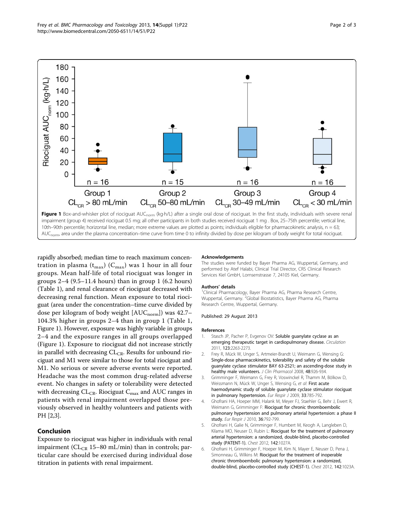<span id="page-1-0"></span>

AUC<sub>norm</sub>, area under the plasma concentration–time curve from time 0 to infinity divided by dose per kilogram of body weight for total riociguat.

rapidly absorbed; median time to reach maximum concentration in plasma ( $t_{max}$ ) ( $C_{max}$ ) was 1 hour in all four groups. Mean half-life of total riociguat was longer in groups  $2-4$  (9.5–11.4 hours) than in group 1 (6.2 hours) (Table [1\)](#page-0-0), and renal clearance of riociguat decreased with decreasing renal function. Mean exposure to total riociguat (area under the concentration–time curve divided by dose per kilogram of body weight  $[AUC_{norm}]$ ) was 42.7– 104.3% higher in groups 2–4 than in group 1 (Table [1](#page-0-0), Figure 1). However, exposure was highly variable in groups 2–4 and the exposure ranges in all groups overlapped (Figure 1). Exposure to riociguat did not increase strictly in parallel with decreasing  $CL_{CR}$ . Results for unbound riociguat and M1 were similar to those for total riociguat and M1. No serious or severe adverse events were reported. Headache was the most common drug-related adverse event. No changes in safety or tolerability were detected with decreasing  $CL_{CR}$ . Riociguat  $C_{max}$  and AUC ranges in patients with renal impairment overlapped those previously observed in healthy volunteers and patients with PH [2,3].

## Conclusion

Exposure to riociguat was higher in individuals with renal impairment ( $CL_{CR}$  15–80 mL/min) than in controls; particular care should be exercised during individual dose titration in patients with renal impairment.

#### Acknowledgements

The studies were funded by Bayer Pharma AG, Wuppertal, Germany, and performed by Atef Halabi, Clinical Trial Director, CRS Clinical Research Services Kiel GmbH, Lornsenstrasse 7, 24105 Kiel, Germany.

#### Authors' details <sup>1</sup>

<sup>1</sup>Clinical Pharmacology, Bayer Pharma AG, Pharma Research Centre, Wuppertal, Germany.<sup>2</sup>Global Biostatistics, Bayer Pharma AG, Pharma Research Centre, Wuppertal, Germany.

#### Published: 29 August 2013

#### References

- 1. Stasch JP, Pacher P, Evgenov OV: [Soluble guanylate cyclase as an](http://www.ncbi.nlm.nih.gov/pubmed/21606405?dopt=Abstract) [emerging therapeutic target in cardiopulmonary disease.](http://www.ncbi.nlm.nih.gov/pubmed/21606405?dopt=Abstract) Circulation 2011, 123:2263-2273.
- 2. Frey R, Mück W, Unger S, Artmeier-Brandt U, Weimann G, Wensing G: [Single-dose pharmacokinetics, tolerability and safety of the soluble](http://www.ncbi.nlm.nih.gov/pubmed/18519919?dopt=Abstract) [guanylate cyclase stimulator BAY 63-2521; an ascending-dose study in](http://www.ncbi.nlm.nih.gov/pubmed/18519919?dopt=Abstract) [healthy male volunteers.](http://www.ncbi.nlm.nih.gov/pubmed/18519919?dopt=Abstract) J Clin Pharmacol 2008, 48:926-934.
- 3. Grimminger F, Weimann G, Frey R, Voswinckel R, Thamm M, Bölkow D, Weissmann N, Mück W, Unger S, Wensing G, et al: [First acute](http://www.ncbi.nlm.nih.gov/pubmed/19129292?dopt=Abstract) [haemodynamic study of soluble guanylate cyclase stimulator riociguat](http://www.ncbi.nlm.nih.gov/pubmed/19129292?dopt=Abstract) [in pulmonary hypertension.](http://www.ncbi.nlm.nih.gov/pubmed/19129292?dopt=Abstract) Eur Respir J 2009, 33:785-792.
- 4. Ghofrani HA, Hoeper MM, Halank M, Meyer FJ, Staehler G, Behr J, Ewert R, Weimann G, Grimminger F: [Riociguat for chronic thromboembolic](http://www.ncbi.nlm.nih.gov/pubmed/20530034?dopt=Abstract) [pulmonary hypertension and pulmonary arterial hypertension: a phase II](http://www.ncbi.nlm.nih.gov/pubmed/20530034?dopt=Abstract) [study.](http://www.ncbi.nlm.nih.gov/pubmed/20530034?dopt=Abstract) Eur Respir J 2010, 36:792-799.
- 5. Ghofrani H, Galie N, Grimminger F, Humbert M, Keogh A, Langleben D, Kilama MO, Neuser D, Rubin L: Riociquat for the treatment of pulmonary arterial hypertension: a randomized, double-blind, placebo-controlled study (PATENT-1). Chest 2012, 142:1027A.
- 6. Ghofrani H, Grimminger F, Hoeper M, Kim N, Mayer E, Neuser D, Pena J, Simonneau G, Wilkins M: Riociguat for the treatment of inoperable chronic thromboembolic pulmonary hypertension: a randomized, double-blind, placebo-controlled study (CHEST-1). Chest 2012, 142:1023A.